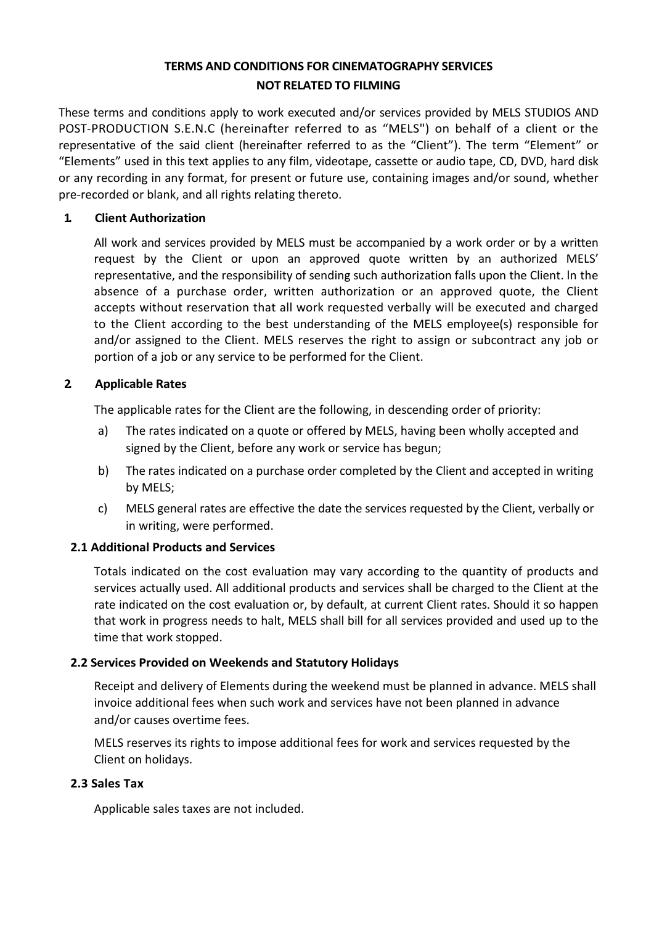# **TERMS AND CONDITIONS FOR CINEMATOGRAPHY SERVICES NOT RELATED TO FILMING**

These terms and conditions apply to work executed and/or services provided by MELS STUDIOS AND POST-PRODUCTION S.E.N.C (hereinafter referred to as "MELS") on behalf of a client or the representative of the said client (hereinafter referred to as the "Client"). The term "Element" or "Elements" used in this text applies to any film, videotape, cassette or audio tape, CD, DVD, hard disk or any recording in any format, for present or future use, containing images and/or sound, whether pre-recorded or blank, and all rights relating thereto.

## **1. Client Authorization**

All work and services provided by MELS must be accompanied by a work order or by a written request by the Client or upon an approved quote written by an authorized MELS' representative, and the responsibility of sending such authorization falls upon the Client. ln the absence of a purchase order, written authorization or an approved quote, the Client accepts without reservation that all work requested verbally will be executed and charged to the Client according to the best understanding of the MELS employee(s) responsible for and/or assigned to the Client. MELS reserves the right to assign or subcontract any job or portion of a job or any service to be performed for the Client.

# **2. Applicable Rates**

The applicable rates for the Client are the following, in descending order of priority:

- a) The rates indicated on a quote or offered by MELS, having been wholly accepted and signed by the Client, before any work or service has begun;
- b) The rates indicated on a purchase order completed by the Client and accepted in writing by MELS;
- c) MELS general rates are effective the date the services requested by the Client, verbally or in writing, were performed.

### **2.1 Additional Products and Services**

Totals indicated on the cost evaluation may vary according to the quantity of products and services actually used. All additional products and services shall be charged to the Client at the rate indicated on the cost evaluation or, by default, at current Client rates. Should it so happen that work in progress needs to halt, MELS shall bill for all services provided and used up to the time that work stopped.

### **2.2 Services Provided on Weekends and Statutory Holidays**

Receipt and delivery of Elements during the weekend must be planned in advance. MELS shall invoice additional fees when such work and services have not been planned in advance and/or causes overtime fees.

MELS reserves its rights to impose additional fees for work and services requested by the Client on holidays.

### **2.3 Sales Tax**

Applicable sales taxes are not included.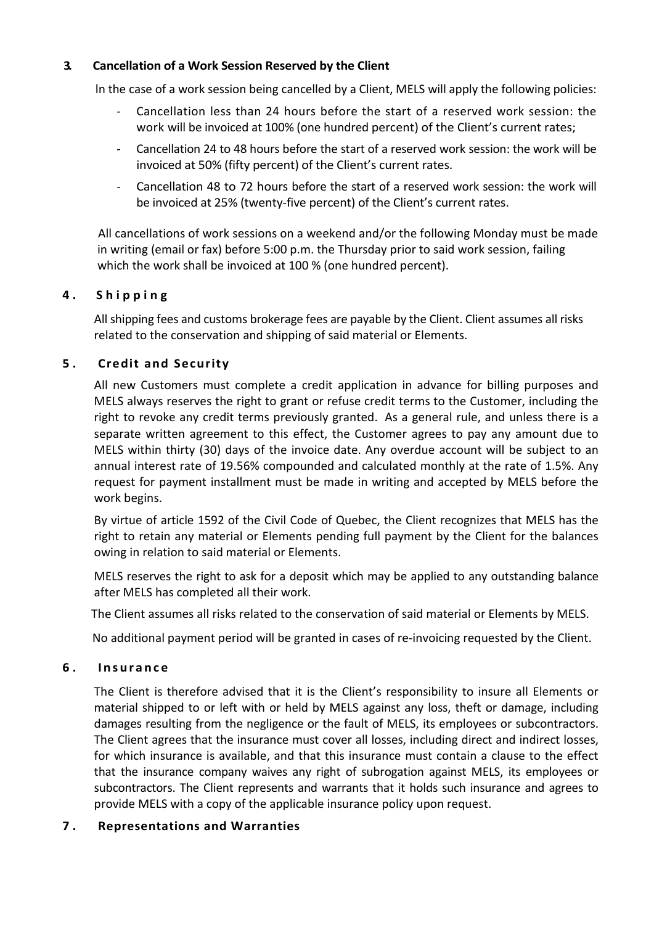### **3. Cancellation of a Work Session Reserved by the Client**

ln the case of a work session being cancelled by a Client, MELS will apply the following policies:

- Cancellation less than 24 hours before the start of a reserved work session: the work will be invoiced at 100% (one hundred percent) of the Client's current rates;
- Cancellation 24 to 48 hours before the start of a reserved work session: the work will be invoiced at 50% (fifty percent) of the Client's current rates.
- Cancellation 48 to 72 hours before the start of a reserved work session: the work will be invoiced at 25% (twenty-five percent) of the Client's current rates.

All cancellations of work sessions on a weekend and/or the following Monday must be made in writing (email or fax) before 5:00 p.m. the Thursday prior to said work session, failing which the work shall be invoiced at 100 % (one hundred percent).

### **4 . Shipping**

All shipping fees and customs brokerage fees are payable by the Client. Client assumes all risks related to the conservation and shipping of said material or Elements.

# **5 . Credit and Security**

All new Customers must complete a credit application in advance for billing purposes and MELS always reserves the right to grant or refuse credit terms to the Customer, including the right to revoke any credit terms previously granted. As a general rule, and unless there is a separate written agreement to this effect, the Customer agrees to pay any amount due to MELS within thirty (30) days of the invoice date. Any overdue account will be subject to an annual interest rate of 19.56% compounded and calculated monthly at the rate of 1.5%. Any request for payment installment must be made in writing and accepted by MELS before the work begins.

By virtue of article 1592 of the Civil Code of Quebec, the Client recognizes that MELS has the right to retain any material or Elements pending full payment by the Client for the balances owing in relation to said material or Elements.

MELS reserves the right to ask for a deposit which may be applied to any outstanding balance after MELS has completed all their work.

The Client assumes all risks related to the conservation of said material or Elements by MELS.

No additional payment period will be granted in cases of re-invoicing requested by the Client.

#### **6 . Insurance**

The Client is therefore advised that it is the Client's responsibility to insure all Elements or material shipped to or left with or held by MELS against any loss, theft or damage, including damages resulting from the negligence or the fault of MELS, its employees or subcontractors. The Client agrees that the insurance must cover all losses, including direct and indirect losses, for which insurance is available, and that this insurance must contain a clause to the effect that the insurance company waives any right of subrogation against MELS, its employees or subcontractors. The Client represents and warrants that it holds such insurance and agrees to provide MELS with a copy of the applicable insurance policy upon request.

### **7 . Representations and Warranties**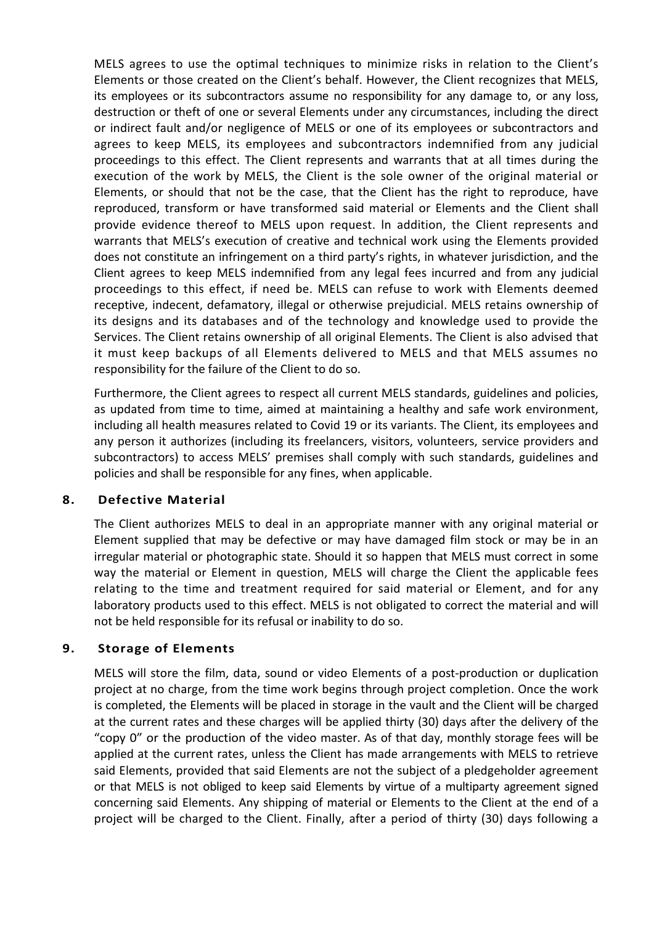MELS agrees to use the optimal techniques to minimize risks in relation to the Client's Elements or those created on the Client's behalf. However, the Client recognizes that MELS, its employees or its subcontractors assume no responsibility for any damage to, or any loss, destruction or theft of one or several Elements under any circumstances, including the direct or indirect fault and/or negligence of MELS or one of its employees or subcontractors and agrees to keep MELS, its employees and subcontractors indemnified from any judicial proceedings to this effect. The Client represents and warrants that at all times during the execution of the work by MELS, the Client is the sole owner of the original material or Elements, or should that not be the case, that the Client has the right to reproduce, have reproduced, transform or have transformed said material or Elements and the Client shall provide evidence thereof to MELS upon request. ln addition, the Client represents and warrants that MELS's execution of creative and technical work using the Elements provided does not constitute an infringement on a third party's rights, in whatever jurisdiction, and the Client agrees to keep MELS indemnified from any legal fees incurred and from any judicial proceedings to this effect, if need be. MELS can refuse to work with Elements deemed receptive, indecent, defamatory, illegal or otherwise prejudicial. MELS retains ownership of its designs and its databases and of the technology and knowledge used to provide the Services. The Client retains ownership of all original Elements. The Client is also advised that it must keep backups of all Elements delivered to MELS and that MELS assumes no responsibility for the failure of the Client to do so.

Furthermore, the Client agrees to respect all current MELS standards, guidelines and policies, as updated from time to time, aimed at maintaining a healthy and safe work environment, including all health measures related to Covid 19 or its variants. The Client, its employees and any person it authorizes (including its freelancers, visitors, volunteers, service providers and subcontractors) to access MELS' premises shall comply with such standards, guidelines and policies and shall be responsible for any fines, when applicable.

#### **8. Defective Material**

The Client authorizes MELS to deal in an appropriate manner with any original material or Element supplied that may be defective or may have damaged film stock or may be in an irregular material or photographic state. Should it so happen that MELS must correct in some way the material or Element in question, MELS will charge the Client the applicable fees relating to the time and treatment required for said material or Element, and for any laboratory products used to this effect. MELS is not obligated to correct the material and will not be held responsible for its refusal or inability to do so.

### **9. Storage of Elements**

MELS will store the film, data, sound or video Elements of a post-production or duplication project at no charge, from the time work begins through project completion. Once the work is completed, the Elements will be placed in storage in the vault and the Client will be charged at the current rates and these charges will be applied thirty (30) days after the delivery of the "copy 0" or the production of the video master. As of that day, monthly storage fees will be applied at the current rates, unless the Client has made arrangements with MELS to retrieve said Elements, provided that said Elements are not the subject of a pledgeholder agreement or that MELS is not obliged to keep said Elements by virtue of a multiparty agreement signed concerning said Elements. Any shipping of material or Elements to the Client at the end of a project will be charged to the Client. Finally, after a period of thirty (30) days following a